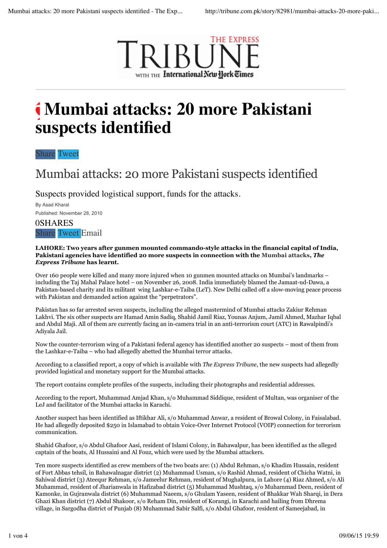

## **Mumbai attacks: 20 more Pakistani suspects identified**

Share Tweet

## Mumbai attacks: 20 more Pakistani suspects identified

Suspects provided logistical support, funds for the attacks.

By Asad Kharal Published: November 28, 2010

0SHARES Share Tweet Email

## **LAHORE: Two years after gunmen mounted commando-style attacks in the financial capital of India, Pakistani agencies have identified 20 more suspects in connection with the Mumbai attacks,** *The Express Tribune* **has learnt.**

Over 160 people were killed and many more injured when 10 gunmen mounted attacks on Mumbai's landmarks – including the Taj Mahal Palace hotel – on November 26, 2008. India immediately blamed the Jamaat-ud-Dawa, a Pakistan-based charity and its militant wing Lashkar-e-Taiba (LeT). New Delhi called off a slow-moving peace process with Pakistan and demanded action against the "perpetrators".

Pakistan has so far arrested seven suspects, including the alleged mastermind of Mumbai attacks Zakiur Rehman Lakhvi. The six other suspects are Hamad Amin Sadiq, Shahid Jamil Riaz, Younas Anjum, Jamil Ahmed, Mazhar Iqbal and Abdul Maji. All of them are currently facing an in-camera trial in an anti-terrorism court (ATC) in Rawalpindi's Adiyala Jail.

Now the counter-terrorism wing of a Pakistani federal agency has identified another 20 suspects – most of them from the Lashkar-e-Taiba – who had allegedly abetted the Mumbai terror attacks.

According to a classified report, a copy of which is available with *The Express Tribune*, the new suspects had allegedly provided logistical and monetary support for the Mumbai attacks.

The report contains complete profiles of the suspects, including their photographs and residential addresses.

According to the report, Muhammad Amjad Khan, s/o Muhammad Siddique, resident of Multan, was organiser of the LeJ and facilitator of the Mumbai attacks in Karachi.

Another suspect has been identified as Iftikhar Ali, s/o Muhammad Anwar, a resident of Browal Colony, in Faisalabad. He had allegedly deposited \$250 in Islamabad to obtain Voice-Over Internet Protocol (VOIP) connection for terrorism communication.

Shahid Ghafoor, s/o Abdul Ghafoor Aasi, resident of Islami Colony, in Bahawalpur, has been identified as the alleged captain of the boats, Al Hussaini and Al Fouz, which were used by the Mumbai attackers.

Ten more suspects identified as crew members of the two boats are: (1) Abdul Rehman, s/o Khadim Hussain, resident of Fort Abbas tehsil, in Bahawalnagar district (2) Muhammad Usman, s/o Rashid Ahmad, resident of Chicha Watni, in Sahiwal district (3) Ateequr Rehman, s/o Jameelur Rehman, resident of Mughalpura, in Lahore (4) Riaz Ahmed, s/o Ali Muhammad, resident of Jharianwala in Hafizabad district (5) Muhammad Mushtaq, s/o Muhammad Deen, resident of Kamonke, in Gujranwala district (6) Muhammad Naeem, s/o Ghulam Yaseen, resident of Bhakkar Wah Sharqi, in Dera Ghazi Khan district (7) Abdul Shakoor, s/o Reham Din, resident of Korangi, in Karachi and hailing from Dhrema village, in Sargodha district of Punjab (8) Muhammad Sabir Salfi, s/o Abdul Ghafoor, resident of Sameejabad, in